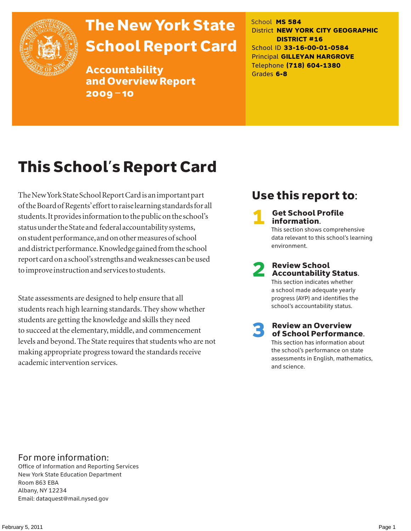

# The New York State School Report Card

Accountability and Overview Report 2009–10

School **MS 584** District **NEW YORK CITY GEOGRAPHIC DISTRICT #16** School ID **33-16-00-01-0584** Principal **GILLEYAN HARGROVE** Telephone **(718) 604-1380** Grades **6-8**

## This School's Report Card

The New York State School Report Card is an important part of the Board of Regents' effort to raise learning standards for all students. It provides information to the public on the school's status under the State and federal accountability systems, on student performance, and on other measures of school and district performance. Knowledge gained from the school report card on a school's strengths and weaknesses can be used to improve instruction and services to students.

State assessments are designed to help ensure that all students reach high learning standards. They show whether students are getting the knowledge and skills they need to succeed at the elementary, middle, and commencement levels and beyond. The State requires that students who are not making appropriate progress toward the standards receive academic intervention services.

### Use this report to:

**Get School Profile** information. This section shows comprehensive data relevant to this school's learning environment.

2 Review School Accountability Status.

This section indicates whether a school made adequate yearly progress (AYP) and identifies the school's accountability status.

3 Review an Overview of School Performance. This section has information about the school's performance on state assessments in English, mathematics,

and science.

For more information:

Office of Information and Reporting Services New York State Education Department Room 863 EBA Albany, NY 12234 Email: dataquest@mail.nysed.gov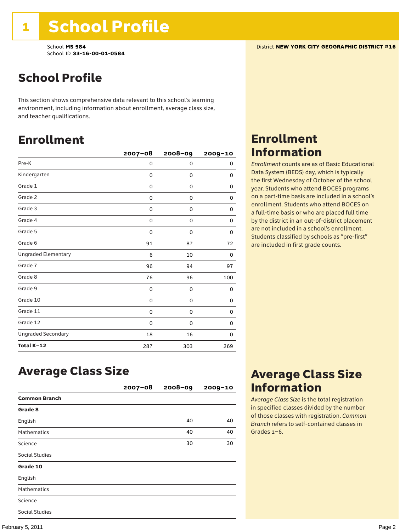### School Profile

This section shows comprehensive data relevant to this school's learning environment, including information about enrollment, average class size, and teacher qualifications.

### Enrollment

|                            | $2007 - 08$ | 2008-09 | 2009-10 |
|----------------------------|-------------|---------|---------|
| Pre-K                      | 0           | 0       | 0       |
| Kindergarten               | 0           | 0       | 0       |
| Grade 1                    | 0           | 0       | 0       |
| Grade 2                    | 0           | 0       | 0       |
| Grade 3                    | 0           | 0       | 0       |
| Grade 4                    | 0           | 0       | 0       |
| Grade 5                    | 0           | 0       | 0       |
| Grade 6                    | 91          | 87      | 72      |
| <b>Ungraded Elementary</b> | 6           | 10      | 0       |
| Grade 7                    | 96          | 94      | 97      |
| Grade 8                    | 76          | 96      | 100     |
| Grade 9                    | 0           | 0       | 0       |
| Grade 10                   | 0           | 0       | 0       |
| Grade 11                   | 0           | 0       | 0       |
| Grade 12                   | 0           | 0       | 0       |
| <b>Ungraded Secondary</b>  | 18          | 16      | 0       |
| Total K-12                 | 287         | 303     | 269     |

### Enrollment Information

*Enrollment* counts are as of Basic Educational Data System (BEDS) day, which is typically the first Wednesday of October of the school year. Students who attend BOCES programs on a part-time basis are included in a school's enrollment. Students who attend BOCES on a full-time basis or who are placed full time by the district in an out-of-district placement are not included in a school's enrollment. Students classified by schools as "pre-first" are included in first grade counts.

### Average Class Size

|                       | $2007 - 08$ | $2008 - 09$ | $2009 - 10$ |
|-----------------------|-------------|-------------|-------------|
| <b>Common Branch</b>  |             |             |             |
| Grade 8               |             |             |             |
| English               |             | 40          | 40          |
| <b>Mathematics</b>    |             | 40          | 40          |
| Science               |             | 30          | 30          |
| Social Studies        |             |             |             |
| Grade 10              |             |             |             |
| English               |             |             |             |
| <b>Mathematics</b>    |             |             |             |
| Science               |             |             |             |
| <b>Social Studies</b> |             |             |             |

### Average Class Size Information

*Average Class Size* is the total registration in specified classes divided by the number of those classes with registration. *Common Branch* refers to self-contained classes in Grades 1–6.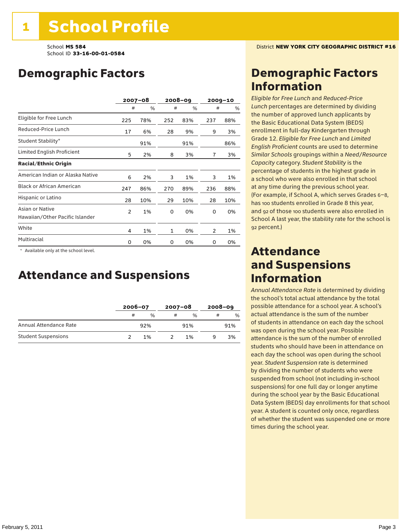### Demographic Factors

|                                                    |     | $2007 - 08$ |     | 2008-09 |     | $2009 - 10$ |
|----------------------------------------------------|-----|-------------|-----|---------|-----|-------------|
|                                                    | #   | %           | #   | %       | #   | %           |
| Eligible for Free Lunch                            | 225 | 78%         | 252 | 83%     | 237 | 88%         |
| Reduced-Price Lunch                                | 17  | 6%          | 28  | 9%      | 9   | 3%          |
| Student Stability*                                 |     | 91%         |     | 91%     |     | 86%         |
| Limited English Proficient                         | 5   | 2%          | 8   | 3%      | 7   | 3%          |
| <b>Racial/Ethnic Origin</b>                        |     |             |     |         |     |             |
| American Indian or Alaska Native                   | 6   | 2%          | 3   | 1%      | 3   | 1%          |
| <b>Black or African American</b>                   | 247 | 86%         | 270 | 89%     | 236 | 88%         |
| Hispanic or Latino                                 | 28  | 10%         | 29  | 10%     | 28  | 10%         |
| Asian or Native<br>Hawaiian/Other Pacific Islander | 2   | 1%          | 0   | 0%      | 0   | 0%          |
| White                                              | 4   | 1%          | 1   | 0%      | 2   | 1%          |
| Multiracial                                        | 0   | 0%          | 0   | 0%      | 0   | 0%          |

 \* Available only at the school level.

### Attendance and Suspensions

|                            |   | $2006 - 07$   |   | $2007 - 08$   |   | $2008 - 09$   |  |
|----------------------------|---|---------------|---|---------------|---|---------------|--|
|                            | # | $\frac{0}{0}$ | # | $\frac{0}{6}$ | # | $\frac{0}{0}$ |  |
| Annual Attendance Rate     |   | 92%           |   | 91%           |   | 91%           |  |
| <b>Student Suspensions</b> |   | 1%            |   | 1%            |   | 3%            |  |

### Demographic Factors Information

*Eligible for Free Lunch* and *Reduced*-*Price Lunch* percentages are determined by dividing the number of approved lunch applicants by the Basic Educational Data System (BEDS) enrollment in full-day Kindergarten through Grade 12. *Eligible for Free Lunch* and *Limited English Proficient* counts are used to determine *Similar Schools* groupings within a *Need*/*Resource Capacity* category. *Student Stability* is the percentage of students in the highest grade in a school who were also enrolled in that school at any time during the previous school year. (For example, if School A, which serves Grades 6–8, has 100 students enrolled in Grade 8 this year, and 92 of those 100 students were also enrolled in School A last year, the stability rate for the school is 92 percent.)

### Attendance and Suspensions Information

*Annual Attendance Rate* is determined by dividing the school's total actual attendance by the total possible attendance for a school year. A school's actual attendance is the sum of the number of students in attendance on each day the school was open during the school year. Possible attendance is the sum of the number of enrolled students who should have been in attendance on each day the school was open during the school year. *Student Suspension* rate is determined by dividing the number of students who were suspended from school (not including in-school suspensions) for one full day or longer anytime during the school year by the Basic Educational Data System (BEDS) day enrollments for that school year. A student is counted only once, regardless of whether the student was suspended one or more times during the school year.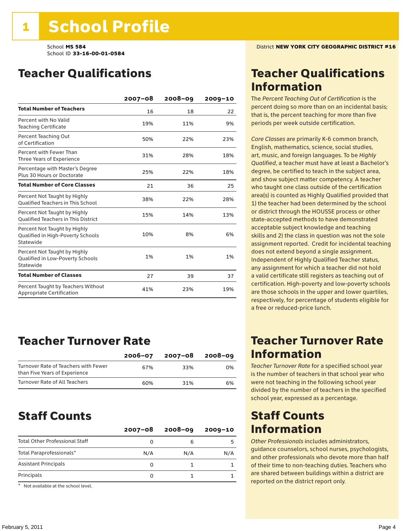### Teacher Qualifications

|                                                                                | $2007 - 08$ | $2008 - 09$ | $2009 - 10$ |
|--------------------------------------------------------------------------------|-------------|-------------|-------------|
| <b>Total Number of Teachers</b>                                                | 16          | 18          | 22          |
| Percent with No Valid<br><b>Teaching Certificate</b>                           | 19%         | 11%         | 9%          |
| Percent Teaching Out<br>of Certification                                       | 50%         | 22%         | 23%         |
| Percent with Fewer Than<br>Three Years of Experience                           | 31%         | 28%         | 18%         |
| Percentage with Master's Degree<br>Plus 30 Hours or Doctorate                  | 25%         | 22%         | 18%         |
| <b>Total Number of Core Classes</b>                                            | 21          | 36          | 25          |
| Percent Not Taught by Highly<br><b>Oualified Teachers in This School</b>       | 38%         | 22%         | 28%         |
| Percent Not Taught by Highly<br><b>Oualified Teachers in This District</b>     | 15%         | 14%         | 13%         |
| Percent Not Taught by Highly<br>Qualified in High-Poverty Schools<br>Statewide | 10%         | 8%          | 6%          |
| Percent Not Taught by Highly<br>Qualified in Low-Poverty Schools<br>Statewide  | 1%          | 1%          | 1%          |
| <b>Total Number of Classes</b>                                                 | 27          | 39          | 37          |
| Percent Taught by Teachers Without<br>Appropriate Certification                | 41%         | 23%         | 19%         |

### Teacher Turnover Rate

|                                                                       | $2006 - 07$ | 2007-08 | 2008-09 |
|-----------------------------------------------------------------------|-------------|---------|---------|
| Turnover Rate of Teachers with Fewer<br>than Five Years of Experience | 67%         | 33%     | 0%      |
| Turnover Rate of All Teachers                                         | 60%         | 31%     | 6%      |

### Staff Counts

| $2007 - 08$ | $2008 - 09$ | $2009 - 10$ |
|-------------|-------------|-------------|
|             | 6           |             |
| N/A         | N/A         | N/A         |
|             |             |             |
|             |             |             |
|             |             |             |

\* Not available at the school level.

### Teacher Qualifications Information

The *Percent Teaching Out of Certification* is the percent doing so more than on an incidental basis; that is, the percent teaching for more than five periods per week outside certification.

*Core Classes* are primarily K-6 common branch, English, mathematics, science, social studies, art, music, and foreign languages. To be *Highly Qualified*, a teacher must have at least a Bachelor's degree, be certified to teach in the subject area, and show subject matter competency. A teacher who taught one class outside of the certification area(s) is counted as Highly Qualified provided that 1) the teacher had been determined by the school or district through the HOUSSE process or other state-accepted methods to have demonstrated acceptable subject knowledge and teaching skills and 2) the class in question was not the sole assignment reported. Credit for incidental teaching does not extend beyond a single assignment. Independent of Highly Qualified Teacher status, any assignment for which a teacher did not hold a valid certificate still registers as teaching out of certification. High-poverty and low-poverty schools are those schools in the upper and lower quartiles, respectively, for percentage of students eligible for a free or reduced-price lunch.

### Teacher Turnover Rate Information

*Teacher Turnover Rate* for a specified school year is the number of teachers in that school year who were not teaching in the following school year divided by the number of teachers in the specified school year, expressed as a percentage.

### Staff Counts Information

*Other Professionals* includes administrators, guidance counselors, school nurses, psychologists, and other professionals who devote more than half of their time to non-teaching duties. Teachers who are shared between buildings within a district are reported on the district report only.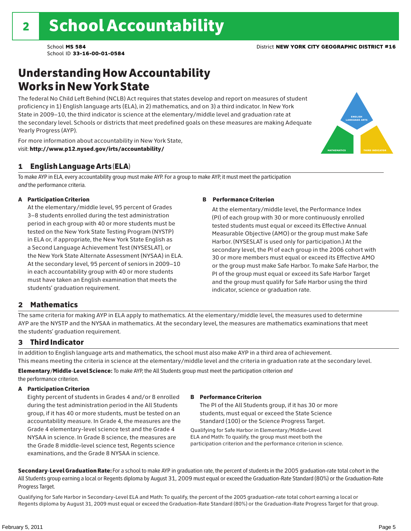### Understanding How Accountability Works in New York State

The federal No Child Left Behind (NCLB) Act requires that states develop and report on measures of student proficiency in 1) English language arts (ELA), in 2) mathematics, and on 3) a third indicator. In New York State in 2009–10, the third indicator is science at the elementary/middle level and graduation rate at the secondary level. Schools or districts that meet predefined goals on these measures are making Adequate Yearly Progress (AYP).

For more information about accountability in New York State, visit: http://www.p12.nysed.gov/irts/accountability/

### 1 English Language Arts (ELA)

To make AYP in ELA, every accountability group must make AYP. For a group to make AYP, it must meet the participation *and* the performance criteria.

#### A Participation Criterion

At the elementary/middle level, 95 percent of Grades 3–8 students enrolled during the test administration period in each group with 40 or more students must be tested on the New York State Testing Program (NYSTP) in ELA or, if appropriate, the New York State English as a Second Language Achievement Test (NYSESLAT), or the New York State Alternate Assessment (NYSAA) in ELA. At the secondary level, 95 percent of seniors in 2009–10 in each accountability group with 40 or more students must have taken an English examination that meets the students' graduation requirement.

#### B Performance Criterion

At the elementary/middle level, the Performance Index (PI) of each group with 30 or more continuously enrolled tested students must equal or exceed its Effective Annual Measurable Objective (AMO) or the group must make Safe Harbor. (NYSESLAT is used only for participation.) At the secondary level, the PI of each group in the 2006 cohort with 30 or more members must equal or exceed its Effective AMO or the group must make Safe Harbor. To make Safe Harbor, the PI of the group must equal or exceed its Safe Harbor Target and the group must qualify for Safe Harbor using the third indicator, science or graduation rate.

#### 2 Mathematics

The same criteria for making AYP in ELA apply to mathematics. At the elementary/middle level, the measures used to determine AYP are the NYSTP and the NYSAA in mathematics. At the secondary level, the measures are mathematics examinations that meet the students' graduation requirement.

#### 3 Third Indicator

In addition to English language arts and mathematics, the school must also make AYP in a third area of achievement. This means meeting the criteria in science at the elementary/middle level and the criteria in graduation rate at the secondary level.

Elementary/Middle-Level Science: To make AYP, the All Students group must meet the participation criterion *and* the performance criterion.

#### A Participation Criterion

Eighty percent of students in Grades 4 and/or 8 enrolled during the test administration period in the All Students group, if it has 40 or more students, must be tested on an accountability measure. In Grade 4, the measures are the Grade 4 elementary-level science test and the Grade 4 NYSAA in science. In Grade 8 science, the measures are the Grade 8 middle-level science test, Regents science examinations, and the Grade 8 NYSAA in science.

#### B Performance Criterion

The PI of the All Students group, if it has 30 or more students, must equal or exceed the State Science Standard (100) or the Science Progress Target.

Qualifying for Safe Harbor in Elementary/Middle-Level ELA and Math: To qualify, the group must meet both the participation criterion and the performance criterion in science.

Secondary-Level Graduation Rate: For a school to make AYP in graduation rate, the percent of students in the 2005 graduation-rate total cohort in the All Students group earning a local or Regents diploma by August 31, 2009 must equal or exceed the Graduation-Rate Standard (80%) or the Graduation-Rate Progress Target.

Qualifying for Safe Harbor in Secondary-Level ELA and Math: To qualify, the percent of the 2005 graduation-rate total cohort earning a local or Regents diploma by August 31, 2009 must equal or exceed the Graduation-Rate Standard (80%) or the Graduation-Rate Progress Target for that group.

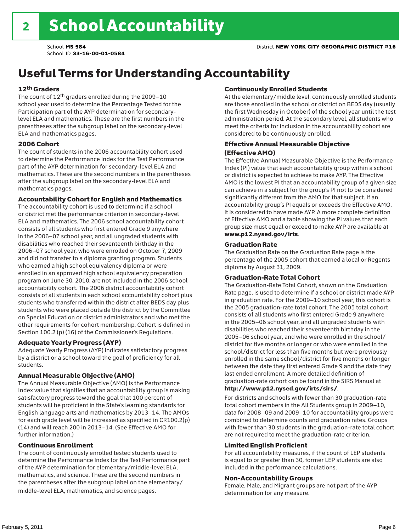### Useful Terms for Understanding Accountability

#### 12th Graders

The count of 12th graders enrolled during the 2009–10 school year used to determine the Percentage Tested for the Participation part of the AYP determination for secondarylevel ELA and mathematics. These are the first numbers in the parentheses after the subgroup label on the secondary-level ELA and mathematics pages.

#### 2006 Cohort

The count of students in the 2006 accountability cohort used to determine the Performance Index for the Test Performance part of the AYP determination for secondary-level ELA and mathematics. These are the second numbers in the parentheses after the subgroup label on the secondary-level ELA and mathematics pages.

#### Accountability Cohort for English and Mathematics

The accountability cohort is used to determine if a school or district met the performance criterion in secondary-level ELA and mathematics. The 2006 school accountability cohort consists of all students who first entered Grade 9 anywhere in the 2006–07 school year, and all ungraded students with disabilities who reached their seventeenth birthday in the 2006–07 school year, who were enrolled on October 7, 2009 and did not transfer to a diploma granting program. Students who earned a high school equivalency diploma or were enrolled in an approved high school equivalency preparation program on June 30, 2010, are not included in the 2006 school accountability cohort. The 2006 district accountability cohort consists of all students in each school accountability cohort plus students who transferred within the district after BEDS day plus students who were placed outside the district by the Committee on Special Education or district administrators and who met the other requirements for cohort membership. Cohort is defined in Section 100.2 (p) (16) of the Commissioner's Regulations.

#### Adequate Yearly Progress (AYP)

Adequate Yearly Progress (AYP) indicates satisfactory progress by a district or a school toward the goal of proficiency for all students.

#### Annual Measurable Objective (AMO)

The Annual Measurable Objective (AMO) is the Performance Index value that signifies that an accountability group is making satisfactory progress toward the goal that 100 percent of students will be proficient in the State's learning standards for English language arts and mathematics by 2013–14. The AMOs for each grade level will be increased as specified in CR100.2(p) (14) and will reach 200 in 2013–14. (See Effective AMO for further information.)

#### Continuous Enrollment

The count of continuously enrolled tested students used to determine the Performance Index for the Test Performance part of the AYP determination for elementary/middle-level ELA, mathematics, and science. These are the second numbers in the parentheses after the subgroup label on the elementary/ middle-level ELA, mathematics, and science pages.

#### Continuously Enrolled Students

At the elementary/middle level, continuously enrolled students are those enrolled in the school or district on BEDS day (usually the first Wednesday in October) of the school year until the test administration period. At the secondary level, all students who meet the criteria for inclusion in the accountability cohort are considered to be continuously enrolled.

#### Effective Annual Measurable Objective (Effective AMO)

The Effective Annual Measurable Objective is the Performance Index (PI) value that each accountability group within a school or district is expected to achieve to make AYP. The Effective AMO is the lowest PI that an accountability group of a given size can achieve in a subject for the group's PI not to be considered significantly different from the AMO for that subject. If an accountability group's PI equals or exceeds the Effective AMO, it is considered to have made AYP. A more complete definition of Effective AMO and a table showing the PI values that each group size must equal or exceed to make AYP are available at www.p12.nysed.gov/irts.

#### Graduation Rate

The Graduation Rate on the Graduation Rate page is the percentage of the 2005 cohort that earned a local or Regents diploma by August 31, 2009.

#### Graduation-Rate Total Cohort

The Graduation-Rate Total Cohort, shown on the Graduation Rate page, is used to determine if a school or district made AYP in graduation rate. For the 2009–10 school year, this cohort is the 2005 graduation-rate total cohort. The 2005 total cohort consists of all students who first entered Grade 9 anywhere in the 2005–06 school year, and all ungraded students with disabilities who reached their seventeenth birthday in the 2005–06 school year, and who were enrolled in the school/ district for five months or longer or who were enrolled in the school/district for less than five months but were previously enrolled in the same school/district for five months or longer between the date they first entered Grade 9 and the date they last ended enrollment. A more detailed definition of graduation-rate cohort can be found in the SIRS Manual at

#### http://www.p12.nysed.gov/irts/sirs/.

For districts and schools with fewer than 30 graduation-rate total cohort members in the All Students group in 2009–10, data for 2008–09 and 2009–10 for accountability groups were combined to determine counts and graduation rates. Groups with fewer than 30 students in the graduation-rate total cohort are not required to meet the graduation-rate criterion.

#### Limited English Proficient

For all accountability measures, if the count of LEP students is equal to or greater than 30, former LEP students are also included in the performance calculations.

#### Non-Accountability Groups

Female, Male, and Migrant groups are not part of the AYP determination for any measure.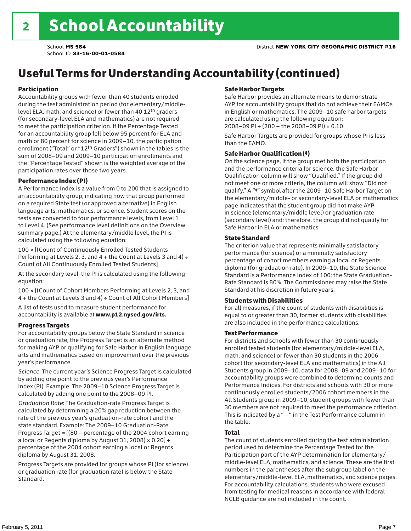## Useful Terms for Understanding Accountability (continued)

#### Participation

Accountability groups with fewer than 40 students enrolled during the test administration period (for elementary/middlelevel ELA, math, and science) or fewer than 40 12th graders (for secondary-level ELA and mathematics) are not required to meet the participation criterion. If the Percentage Tested for an accountability group fell below 95 percent for ELA and math or 80 percent for science in 2009–10, the participation enrollment ("Total" or "12th Graders") shown in the tables is the sum of 2008–09 and 2009–10 participation enrollments and the "Percentage Tested" shown is the weighted average of the participation rates over those two years.

#### Performance Index (PI)

A Performance Index is a value from 0 to 200 that is assigned to an accountability group, indicating how that group performed on a required State test (or approved alternative) in English language arts, mathematics, or science. Student scores on the tests are converted to four performance levels, from Level 1 to Level 4. (See performance level definitions on the Overview summary page.) At the elementary/middle level, the PI is calculated using the following equation:

100 × [(Count of Continuously Enrolled Tested Students Performing at Levels 2, 3, and  $4 +$  the Count at Levels 3 and  $4) \div$ Count of All Continuously Enrolled Tested Students]

At the secondary level, the PI is calculated using the following equation:

100 × [(Count of Cohort Members Performing at Levels 2, 3, and 4 + the Count at Levels 3 and 4) ÷ Count of All Cohort Members]

A list of tests used to measure student performance for accountability is available at www.p12.nysed.gov/irts.

#### Progress Targets

For accountability groups below the State Standard in science or graduation rate, the Progress Target is an alternate method for making AYP or qualifying for Safe Harbor in English language arts and mathematics based on improvement over the previous year's performance.

*Science:* The current year's Science Progress Target is calculated by adding one point to the previous year's Performance Index (PI). Example: The 2009–10 Science Progress Target is calculated by adding one point to the 2008–09 PI.

*Graduation Rate*: The Graduation-rate Progress Target is calculated by determining a 20% gap reduction between the rate of the previous year's graduation-rate cohort and the state standard. Example: The 2009–10 Graduation-Rate Progress Target = [(80 – percentage of the 2004 cohort earning a local or Regents diploma by August 31, 2008)  $\times$  0.20] + percentage of the 2004 cohort earning a local or Regents diploma by August 31, 2008.

Progress Targets are provided for groups whose PI (for science) or graduation rate (for graduation rate) is below the State Standard.

#### Safe Harbor Targets

Safe Harbor provides an alternate means to demonstrate AYP for accountability groups that do not achieve their EAMOs in English or mathematics. The 2009–10 safe harbor targets are calculated using the following equation: 2008–09 PI + (200 – the 2008–09 PI) × 0.10

Safe Harbor Targets are provided for groups whose PI is less than the EAMO.

#### Safe Harbor Qualification (‡)

On the science page, if the group met both the participation and the performance criteria for science, the Safe Harbor Qualification column will show "Qualified." If the group did not meet one or more criteria, the column will show "Did not qualify." A "‡" symbol after the 2009–10 Safe Harbor Target on the elementary/middle- or secondary-level ELA or mathematics page indicates that the student group did not make AYP in science (elementary/middle level) or graduation rate (secondary level) and; therefore, the group did not qualify for Safe Harbor in ELA or mathematics.

#### State Standard

The criterion value that represents minimally satisfactory performance (for science) or a minimally satisfactory percentage of cohort members earning a local or Regents diploma (for graduation rate). In 2009–10, the State Science Standard is a Performance Index of 100; the State Graduation-Rate Standard is 80%. The Commissioner may raise the State Standard at his discretion in future years.

#### Students with Disabilities

For all measures, if the count of students with disabilities is equal to or greater than 30, former students with disabilities are also included in the performance calculations.

#### Test Performance

For districts and schools with fewer than 30 continuously enrolled tested students (for elementary/middle-level ELA, math, and science) or fewer than 30 students in the 2006 cohort (for secondary-level ELA and mathematics) in the All Students group in 2009–10, data for 2008–09 and 2009–10 for accountability groups were combined to determine counts and Performance Indices. For districts and schools with 30 or more continuously enrolled students/2006 cohort members in the All Students group in 2009–10, student groups with fewer than 30 members are not required to meet the performance criterion. This is indicated by a "—" in the Test Performance column in the table.

#### Total

The count of students enrolled during the test administration period used to determine the Percentage Tested for the Participation part of the AYP determination for elementary/ middle-level ELA, mathematics, and science. These are the first numbers in the parentheses after the subgroup label on the elementary/middle-level ELA, mathematics, and science pages. For accountability calculations, students who were excused from testing for medical reasons in accordance with federal NCLB guidance are not included in the count.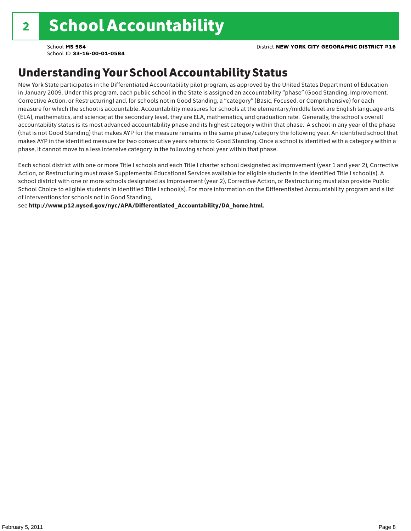### Understanding Your School Accountability Status

New York State participates in the Differentiated Accountability pilot program, as approved by the United States Department of Education in January 2009. Under this program, each public school in the State is assigned an accountability "phase" (Good Standing, Improvement, Corrective Action, or Restructuring) and, for schools not in Good Standing, a "category" (Basic, Focused, or Comprehensive) for each measure for which the school is accountable. Accountability measures for schools at the elementary/middle level are English language arts (ELA), mathematics, and science; at the secondary level, they are ELA, mathematics, and graduation rate. Generally, the school's overall accountability status is its most advanced accountability phase and its highest category within that phase. A school in any year of the phase (that is not Good Standing) that makes AYP for the measure remains in the same phase/category the following year. An identified school that makes AYP in the identified measure for two consecutive years returns to Good Standing. Once a school is identified with a category within a phase, it cannot move to a less intensive category in the following school year within that phase.

Each school district with one or more Title I schools and each Title I charter school designated as Improvement (year 1 and year 2), Corrective Action, or Restructuring must make Supplemental Educational Services available for eligible students in the identified Title I school(s). A school district with one or more schools designated as Improvement (year 2), Corrective Action, or Restructuring must also provide Public School Choice to eligible students in identified Title I school(s). For more information on the Differentiated Accountability program and a list of interventions for schools not in Good Standing,

see http://www.p12.nysed.gov/nyc/APA/Differentiated\_Accountability/DA\_home.html.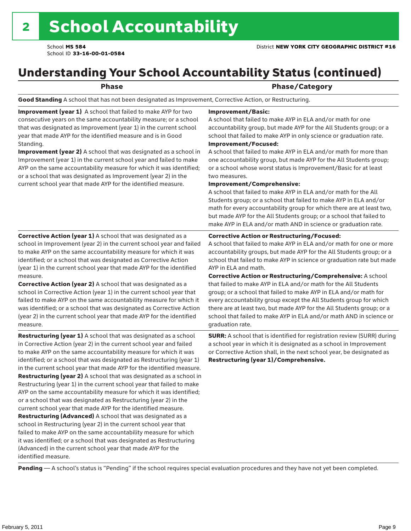### Understanding Your School Accountability Status (continued)

#### Phase **Phase** Phase/Category

Good Standing A school that has not been designated as Improvement, Corrective Action, or Restructuring.

Improvement (year 1) A school that failed to make AYP for two consecutive years on the same accountability measure; or a school that was designated as Improvement (year 1) in the current school year that made AYP for the identified measure and is in Good Standing.

Improvement (year 2) A school that was designated as a school in Improvement (year 1) in the current school year and failed to make AYP on the same accountability measure for which it was identified; or a school that was designated as Improvement (year 2) in the current school year that made AYP for the identified measure.

#### Improvement/Basic:

A school that failed to make AYP in ELA and/or math for one accountability group, but made AYP for the All Students group; or a school that failed to make AYP in only science or graduation rate. Improvement/Focused:

A school that failed to make AYP in ELA and/or math for more than one accountability group, but made AYP for the All Students group; or a school whose worst status is Improvement/Basic for at least two measures.

#### Improvement/Comprehensive:

A school that failed to make AYP in ELA and/or math for the All Students group; or a school that failed to make AYP in ELA and/or math for every accountability group for which there are at least two, but made AYP for the All Students group; or a school that failed to make AYP in ELA and/or math AND in science or graduation rate.

#### Corrective Action or Restructuring/Focused:

A school that failed to make AYP in ELA and/or math for one or more accountability groups, but made AYP for the All Students group; or a school that failed to make AYP in science or graduation rate but made AYP in ELA and math.

(year 1) in the current school year that made AYP for the identified measure. Corrective Action (year 2) A school that was designated as a school in Corrective Action (year 1) in the current school year that failed to make AYP on the same accountability measure for which it was identified; or a school that was designated as Corrective Action (year 2) in the current school year that made AYP for the identified

Corrective Action (year 1) A school that was designated as a school in Improvement (year 2) in the current school year and failed to make AYP on the same accountability measure for which it was identified; or a school that was designated as Corrective Action

Restructuring (year 1) A school that was designated as a school in Corrective Action (year 2) in the current school year and failed to make AYP on the same accountability measure for which it was identified; or a school that was designated as Restructuring (year 1) in the current school year that made AYP for the identified measure. Restructuring (year 2) A school that was designated as a school in Restructuring (year 1) in the current school year that failed to make AYP on the same accountability measure for which it was identified; or a school that was designated as Restructuring (year 2) in the current school year that made AYP for the identified measure. Restructuring (Advanced) A school that was designated as a school in Restructuring (year 2) in the current school year that failed to make AYP on the same accountability measure for which it was identified; or a school that was designated as Restructuring (Advanced) in the current school year that made AYP for the identified measure.

Corrective Action or Restructuring/Comprehensive: A school that failed to make AYP in ELA and/or math for the All Students group; or a school that failed to make AYP in ELA and/or math for every accountability group except the All Students group for which there are at least two, but made AYP for the All Students group; or a school that failed to make AYP in ELA and/or math AND in science or graduation rate.

SURR: A school that is identified for registration review (SURR) during a school year in which it is designated as a school in Improvement or Corrective Action shall, in the next school year, be designated as Restructuring (year 1)/Comprehensive.

Pending - A school's status is "Pending" if the school requires special evaluation procedures and they have not yet been completed.

measure.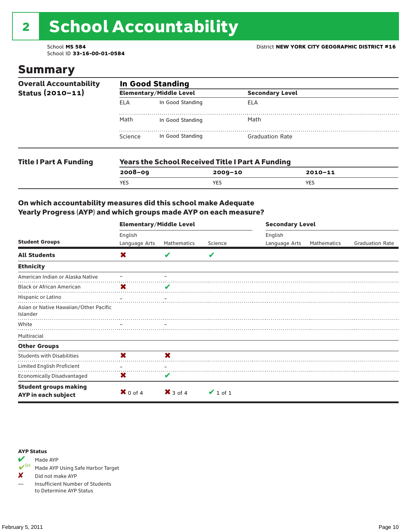# 2 School Accountability

School ID **33-16-00-01-0584**

### Summary

| <b>Overall Accountability</b><br>Status $(2010 - 11)$ | <b>In Good Standing</b> |                                                         |                        |  |  |  |
|-------------------------------------------------------|-------------------------|---------------------------------------------------------|------------------------|--|--|--|
|                                                       |                         | <b>Elementary/Middle Level</b>                          | <b>Secondary Level</b> |  |  |  |
|                                                       | <b>ELA</b>              | In Good Standing                                        | ELA                    |  |  |  |
|                                                       | Math                    | In Good Standing                                        | Math                   |  |  |  |
|                                                       | Science                 | In Good Standing                                        | <b>Graduation Rate</b> |  |  |  |
| <b>Title I Part A Funding</b>                         |                         | <b>Years the School Received Title I Part A Funding</b> |                        |  |  |  |

### **2008–09 2009–10 2010–11** YES YES YES

#### On which accountability measures did this school make Adequate Yearly Progress (AYP) and which groups made AYP on each measure?

|                                                     | <b>Elementary/Middle Level</b> |                     |               | <b>Secondary Level</b> |             |                        |  |
|-----------------------------------------------------|--------------------------------|---------------------|---------------|------------------------|-------------|------------------------|--|
|                                                     | English                        |                     |               | English                |             |                        |  |
| <b>Student Groups</b>                               | Language Arts                  | Mathematics         | Science       | Language Arts          | Mathematics | <b>Graduation Rate</b> |  |
| <b>All Students</b>                                 | X                              |                     | v             |                        |             |                        |  |
| <b>Ethnicity</b>                                    |                                |                     |               |                        |             |                        |  |
| American Indian or Alaska Native                    |                                |                     |               |                        |             |                        |  |
| <b>Black or African American</b>                    | X                              | V                   |               |                        |             |                        |  |
| Hispanic or Latino                                  |                                |                     |               |                        |             |                        |  |
| Asian or Native Hawaiian/Other Pacific<br>Islander  |                                |                     |               |                        |             |                        |  |
| White                                               |                                |                     |               |                        |             |                        |  |
| Multiracial                                         |                                |                     |               |                        |             |                        |  |
| <b>Other Groups</b>                                 |                                |                     |               |                        |             |                        |  |
| <b>Students with Disabilities</b>                   | X                              | X                   |               |                        |             |                        |  |
| Limited English Proficient                          |                                |                     |               |                        |             |                        |  |
| Economically Disadvantaged                          | X                              |                     |               |                        |             |                        |  |
| <b>Student groups making</b><br>AYP in each subject | $\mathbf{X}$ 0 of 4            | $\mathsf{X}$ 3 of 4 | $\vee$ 1 of 1 |                        |             |                        |  |

#### AYP Status



Made AYP Using Safe Harbor Target

✘ Did not make AYP

— Insufficient Number of Students to Determine AYP Status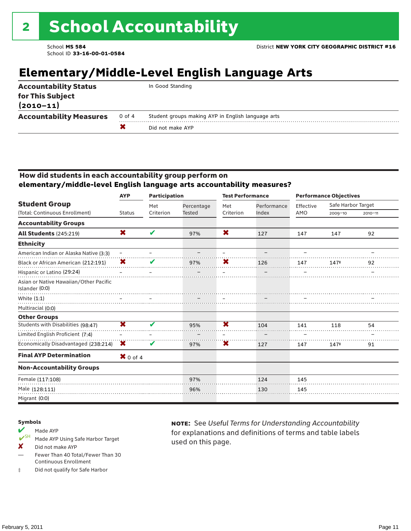### **Elementary/Middle-Level English Language Arts**

| <b>Accountability Status</b><br>for This Subject<br>$(2010 - 11)$ |        | In Good Standing                                   |
|-------------------------------------------------------------------|--------|----------------------------------------------------|
| <b>Accountability Measures</b>                                    | 0 of 4 | Student groups making AYP in English language arts |
|                                                                   |        | Did not make AYP                                   |
|                                                                   |        |                                                    |

#### How did students in each accountability group perform on **elementary/middle-level English language arts accountability measures?**

|                                                          | <b>Participation</b><br><b>AYP</b> |           | <b>Test Performance</b> |                         | <b>Performance Objectives</b> |           |                    |             |
|----------------------------------------------------------|------------------------------------|-----------|-------------------------|-------------------------|-------------------------------|-----------|--------------------|-------------|
| <b>Student Group</b>                                     |                                    | Met       | Percentage              | Met                     | Performance                   | Effective | Safe Harbor Target |             |
| (Total: Continuous Enrollment)                           | <b>Status</b>                      | Criterion | <b>Tested</b>           | Criterion               | Index                         | AMO       | 2009-10            | $2010 - 11$ |
| <b>Accountability Groups</b>                             |                                    |           |                         |                         |                               |           |                    |             |
| <b>All Students (245:219)</b>                            | X                                  | V         | 97%                     | X                       | 127                           | 147       | 147                | 92          |
| <b>Ethnicity</b>                                         |                                    |           |                         |                         |                               |           |                    |             |
| American Indian or Alaska Native (3:3)                   | $\qquad \qquad -$                  |           |                         |                         |                               |           |                    |             |
| Black or African American (212:191)                      | X                                  |           | 97%                     | X                       | 126                           | 147       | 147#               | 92          |
| Hispanic or Latino (29:24)                               |                                    |           |                         |                         |                               |           |                    |             |
| Asian or Native Hawaiian/Other Pacific<br>Islander (0:0) |                                    |           |                         |                         |                               |           |                    |             |
| White $(1:1)$                                            |                                    |           |                         |                         |                               |           |                    |             |
| Multiracial (0:0)                                        |                                    |           |                         |                         |                               |           |                    |             |
| <b>Other Groups</b>                                      |                                    |           |                         |                         |                               |           |                    |             |
| Students with Disabilities (98:47)                       | $\overline{\textbf{x}}$            | v         | 95%                     | $\overline{\textbf{x}}$ | 104                           | 141       | 118                | 54          |
| Limited English Proficient (7:4)                         |                                    |           |                         |                         |                               |           |                    |             |
| Economically Disadvantaged (238:214)                     | X                                  | v         | 97%                     | $\overline{\textbf{x}}$ | 127                           | 147       | 147#               | 91          |
| <b>Final AYP Determination</b>                           | $\mathbf{X}$ 0 of 4                |           |                         |                         |                               |           |                    |             |
| <b>Non-Accountability Groups</b>                         |                                    |           |                         |                         |                               |           |                    |             |
| Female (117:108)                                         |                                    |           | 97%                     |                         | 124                           | 145       |                    |             |
| Male (128:111)                                           |                                    |           | 96%                     |                         | 130                           | 145       |                    |             |
| Migrant (0:0)                                            |                                    |           |                         |                         |                               |           |                    |             |

#### Symbols

- Made AYP<br> **V**SH Made AVP Made AYP Using Safe Harbor Target
- X Did not make AYP
- Fewer Than 40 Total/Fewer Than 30 Continuous Enrollment
- ‡ Did not qualify for Safe Harbor

note: See *Useful Terms for Understanding Accountability*  for explanations and definitions of terms and table labels used on this page.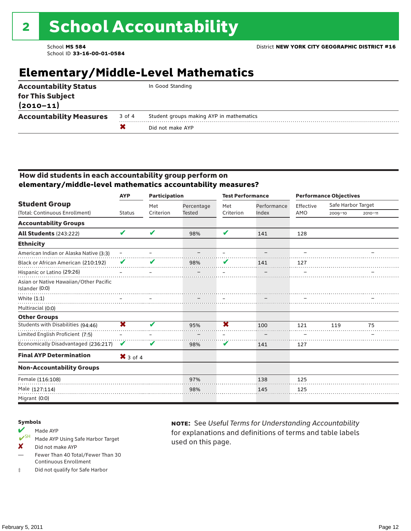### **Elementary/Middle-Level Mathematics**

| $(2010 - 11)$                                                                        |  |
|--------------------------------------------------------------------------------------|--|
| <b>Accountability Measures</b><br>Student groups making AYP in mathematics<br>3 of 4 |  |
| Did not make AYP                                                                     |  |

#### How did students in each accountability group perform on **elementary/middle-level mathematics accountability measures?**

|                                                          | <b>AYP</b>              | <b>Participation</b> |               | <b>Test Performance</b>    |             |           | <b>Performance Objectives</b> |             |
|----------------------------------------------------------|-------------------------|----------------------|---------------|----------------------------|-------------|-----------|-------------------------------|-------------|
| <b>Student Group</b>                                     |                         | Met                  | Percentage    | Met                        | Performance | Effective | Safe Harbor Target            |             |
| (Total: Continuous Enrollment)                           | <b>Status</b>           | Criterion            | <b>Tested</b> | Criterion                  | Index       | AMO       | $2009 - 10$                   | $2010 - 11$ |
| <b>Accountability Groups</b>                             |                         |                      |               |                            |             |           |                               |             |
| <b>All Students (243:222)</b>                            | V                       | ✔                    | 98%           | $\boldsymbol{\mathcal{L}}$ | 141         | 128       |                               |             |
| <b>Ethnicity</b>                                         |                         |                      |               |                            |             |           |                               |             |
| American Indian or Alaska Native (3:3)                   | $\qquad \qquad -$       |                      |               |                            |             |           |                               |             |
| Black or African American (210:192)                      | V                       |                      | 98%           |                            | 141         | 127       |                               |             |
| Hispanic or Latino (29:26)                               |                         |                      |               |                            |             |           |                               |             |
| Asian or Native Hawaiian/Other Pacific<br>Islander (0:0) |                         |                      |               |                            |             |           |                               |             |
| White $(1:1)$                                            |                         |                      |               |                            |             |           |                               |             |
| Multiracial (0:0)                                        |                         |                      |               |                            |             |           |                               |             |
| <b>Other Groups</b>                                      |                         |                      |               |                            |             |           |                               |             |
| Students with Disabilities (94:46)                       | $\overline{\textbf{x}}$ | ✔                    | 95%           | $\overline{\textbf{x}}$    | 100         | 121       | 119                           | 75          |
| Limited English Proficient (7:5)                         |                         |                      |               |                            |             |           |                               |             |
| Economically Disadvantaged (236:217)                     | V                       | V                    | 98%           | V                          | 141         | 127       |                               |             |
| <b>Final AYP Determination</b>                           | $X$ 3 of 4              |                      |               |                            |             |           |                               |             |
| <b>Non-Accountability Groups</b>                         |                         |                      |               |                            |             |           |                               |             |
| Female (116:108)                                         |                         |                      | 97%           |                            | 138         | 125       |                               |             |
| Male (127:114)                                           |                         |                      | 98%           |                            | 145         | 125       |                               |             |
| Migrant (0:0)                                            |                         |                      |               |                            |             |           |                               |             |

#### Symbols

### Made AYP<br> **V**SH Made AVP

- Made AYP Using Safe Harbor Target
- X Did not make AYP
- Fewer Than 40 Total/Fewer Than 30 Continuous Enrollment
- ‡ Did not qualify for Safe Harbor

note: See *Useful Terms for Understanding Accountability*  for explanations and definitions of terms and table labels used on this page.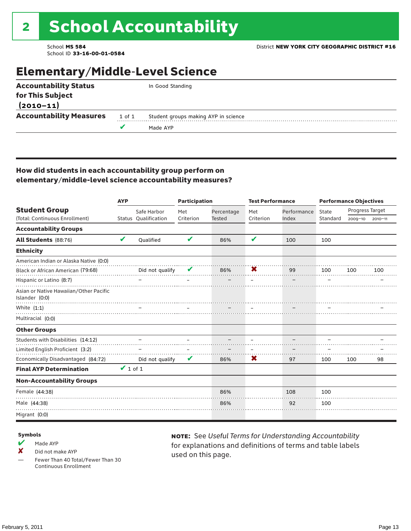### Elementary/Middle-Level Science

|                                   |        | Made AYP                             |
|-----------------------------------|--------|--------------------------------------|
| <b>Accountability Measures</b>    | 1 of 1 | Student groups making AYP in science |
| for This Subject<br>$(2010 - 11)$ |        |                                      |
| <b>Accountability Status</b>      |        | In Good Standing                     |

#### How did students in each accountability group perform on elementary/middle-level science accountability measures?

|                                                          | <b>AYP</b>          |                                     | <b>Participation</b> |                             | <b>Test Performance</b> |                      | <b>Performance Objectives</b> |                                |             |  |
|----------------------------------------------------------|---------------------|-------------------------------------|----------------------|-----------------------------|-------------------------|----------------------|-------------------------------|--------------------------------|-------------|--|
| <b>Student Group</b><br>(Total: Continuous Enrollment)   |                     | Safe Harbor<br>Status Qualification | Met<br>Criterion     | Percentage<br><b>Tested</b> | Met<br>Criterion        | Performance<br>Index | State<br>Standard             | Progress Target<br>$2009 - 10$ | $2010 - 11$ |  |
| <b>Accountability Groups</b>                             |                     |                                     |                      |                             |                         |                      |                               |                                |             |  |
|                                                          |                     |                                     |                      |                             |                         |                      |                               |                                |             |  |
| All Students (88:76)                                     | V                   | <b>Oualified</b>                    | V                    | 86%                         | V                       | 100                  | 100                           |                                |             |  |
| <b>Ethnicity</b>                                         |                     |                                     |                      |                             |                         |                      |                               |                                |             |  |
| American Indian or Alaska Native (0:0)                   |                     |                                     |                      |                             |                         |                      |                               |                                |             |  |
| Black or African American (79:68)                        |                     | Did not qualify                     |                      | 86%                         | X                       | 99                   | 100                           | 100                            | 100         |  |
| Hispanic or Latino (8:7)                                 |                     |                                     |                      |                             |                         |                      |                               |                                |             |  |
| Asian or Native Hawaiian/Other Pacific<br>Islander (0:0) |                     |                                     |                      |                             |                         |                      |                               |                                |             |  |
| White $(1:1)$                                            |                     |                                     |                      |                             |                         |                      |                               |                                |             |  |
| Multiracial (0:0)                                        |                     |                                     |                      |                             |                         |                      |                               |                                |             |  |
| <b>Other Groups</b>                                      |                     |                                     |                      |                             |                         |                      |                               |                                |             |  |
| Students with Disabilities (14:12)                       |                     |                                     |                      |                             |                         |                      |                               |                                |             |  |
| Limited English Proficient (3:2)                         |                     |                                     |                      |                             |                         |                      |                               |                                |             |  |
| Economically Disadvantaged (84:72)                       |                     | Did not qualify                     | V                    | 86%                         | X                       | 97                   | 100                           | 100                            | 98          |  |
| <b>Final AYP Determination</b>                           | $\mathbf{V}$ 1 of 1 |                                     |                      |                             |                         |                      |                               |                                |             |  |
| <b>Non-Accountability Groups</b>                         |                     |                                     |                      |                             |                         |                      |                               |                                |             |  |
| Female (44:38)                                           |                     |                                     |                      | 86%                         |                         | 108                  | 100                           |                                |             |  |
| Male (44:38)                                             |                     |                                     |                      | 86%                         |                         | 92                   | 100                           |                                |             |  |
| Migrant (0:0)                                            |                     |                                     |                      |                             |                         |                      |                               |                                |             |  |

#### Symbols

- $M$  Made AYP
- X Did not make AYP
- Fewer Than 40 Total/Fewer Than 30 Continuous Enrollment

note: See *Useful Terms for Understanding Accountability*  for explanations and definitions of terms and table labels used on this page.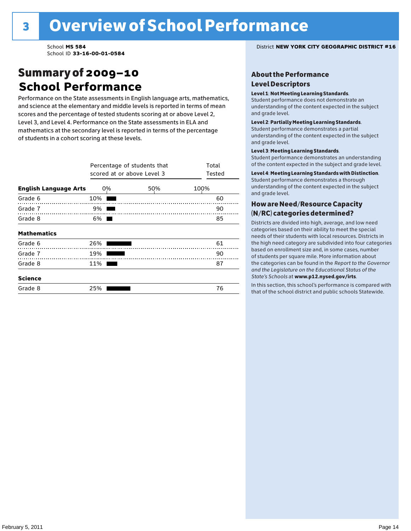### Summary of 2009–10 **School Performance**

Performance on the State assessments in English language arts, mathematics, and science at the elementary and middle levels is reported in terms of mean scores and the percentage of tested students scoring at or above Level 2, Level 3, and Level 4. Performance on the State assessments in ELA and mathematics at the secondary level is reported in terms of the percentage of students in a cohort scoring at these levels.

|                              | Percentage of students that<br>scored at or above Level 3 | Total<br>Tested |      |
|------------------------------|-----------------------------------------------------------|-----------------|------|
| <b>English Language Arts</b> | 0%                                                        | 50%             | 100% |
| Grade 6                      | 10%                                                       |                 | 60   |
| Grade 7                      | 9%                                                        |                 | 90   |
| Grade 8                      | 6%                                                        |                 | 85   |
| <b>Mathematics</b>           |                                                           |                 |      |
| Grade 6                      | 26%                                                       |                 | 61   |
| Grade 7                      | 19%                                                       |                 | 90   |
| Grade 8                      | 11%                                                       |                 | 87   |
| <b>Science</b>               |                                                           |                 |      |
| Grade 8                      | 25%                                                       |                 | 76   |

School **MS 584** District **NEW YORK CITY GEOGRAPHIC DISTRICT #16**

#### About the Performance Level Descriptors

#### Level 1: Not Meeting Learning Standards.

Student performance does not demonstrate an understanding of the content expected in the subject and grade level.

#### Level 2: Partially Meeting Learning Standards.

Student performance demonstrates a partial understanding of the content expected in the subject and grade level.

#### Level 3: Meeting Learning Standards.

Student performance demonstrates an understanding of the content expected in the subject and grade level.

#### Level 4: Meeting Learning Standards with Distinction.

Student performance demonstrates a thorough understanding of the content expected in the subject and grade level.

#### How are Need/Resource Capacity (N/RC) categories determined?

Districts are divided into high, average, and low need categories based on their ability to meet the special needs of their students with local resources. Districts in the high need category are subdivided into four categories based on enrollment size and, in some cases, number of students per square mile. More information about the categories can be found in the *Report to the Governor and the Legislature on the Educational Status of the*  State's Schools at www.p12.nysed.gov/irts.

In this section, this school's performance is compared with<br>that of the school district and multigazine also taken idea In this section, this school's performance is compared that of the school district and public schools Statewide.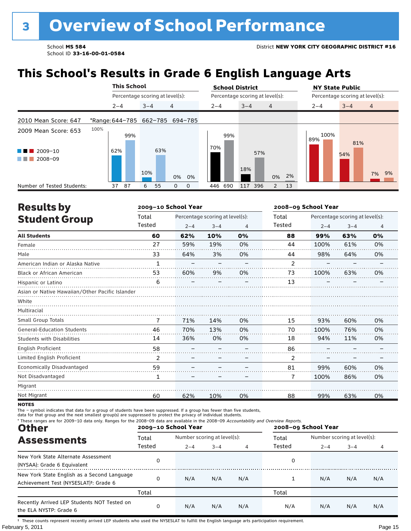## **This School's Results in Grade 6 English Language Arts**

|                                        |                                 |         | <b>This School</b> |         |     |                                 |       |                                 | <b>School District</b> |         |     |                |    | <b>NY State Public</b>          |         |                |  |
|----------------------------------------|---------------------------------|---------|--------------------|---------|-----|---------------------------------|-------|---------------------------------|------------------------|---------|-----|----------------|----|---------------------------------|---------|----------------|--|
|                                        |                                 |         |                    |         |     | Percentage scoring at level(s): |       | Percentage scoring at level(s): |                        |         |     |                |    | Percentage scoring at level(s): |         |                |  |
|                                        |                                 | $2 - 4$ |                    | $3 - 4$ |     | 4                               |       |                                 | $2 - 4$                | $3 - 4$ |     | $\overline{4}$ |    | $2 - 4$                         | $3 - 4$ | $\overline{4}$ |  |
| 2010 Mean Score: 647                   | *Range: 644-785 662-785 694-785 |         |                    |         |     |                                 |       |                                 |                        |         |     |                |    |                                 |         |                |  |
| 2009 Mean Score: 653                   | 100%                            |         | 99%                |         |     |                                 |       |                                 | 99%                    |         |     |                |    | 100%<br>89%                     | 81%     |                |  |
| 2009-10<br>.<br>$2008 - 09$<br>a sa ta |                                 | 62%     |                    | 10%     | 63% |                                 | 0% 0% |                                 | 70%                    | 18%     | 57% | 0%             | 2% |                                 | 54%     | 9%<br>7%       |  |
| Number of Tested Students:             |                                 | 37      | 87                 | 6       | 55  | 0                               | 0     |                                 | 446 690                | 117 396 |     | $\overline{2}$ | 13 |                                 |         |                |  |

| <b>Results by</b>                               |              | 2009-10 School Year |                                 |    |                | 2008-09 School Year |                                 |    |  |
|-------------------------------------------------|--------------|---------------------|---------------------------------|----|----------------|---------------------|---------------------------------|----|--|
| <b>Student Group</b>                            | Total        |                     | Percentage scoring at level(s): |    | Total          |                     | Percentage scoring at level(s): |    |  |
|                                                 | Tested       | $2 - 4$             | $3 - 4$                         | 4  | Tested         | $2 - 4$             | $3 - 4$                         | 4  |  |
| <b>All Students</b>                             | 60           | 62%                 | 10%                             | 0% | 88             | 99%                 | 63%                             | 0% |  |
| Female                                          | 27           | 59%                 | 19%                             | 0% | 44             | 100%                | 61%                             | 0% |  |
| Male                                            | 33           | 64%                 | 3%                              | 0% | 44             | 98%                 | 64%                             | 0% |  |
| American Indian or Alaska Native                | $\mathbf{1}$ |                     |                                 |    | $\overline{2}$ |                     |                                 |    |  |
| Black or African American                       | 53           | 60%                 | 9%                              | 0% | 73             | 100%                | 63%                             | 0% |  |
| Hispanic or Latino                              | 6            |                     |                                 |    | 13             |                     |                                 |    |  |
| Asian or Native Hawaiian/Other Pacific Islander |              |                     |                                 |    |                |                     |                                 |    |  |
| White                                           |              |                     |                                 |    |                |                     |                                 |    |  |
| Multiracial                                     |              |                     |                                 |    |                |                     |                                 |    |  |
| Small Group Totals                              | 7            | 71%                 | 14%                             | 0% | 15             | 93%                 | 60%                             | 0% |  |
| <b>General-Education Students</b>               | 46           | 70%                 | 13%                             | 0% | 70             | 100%                | 76%                             | 0% |  |
| <b>Students with Disabilities</b>               | 14           | 36%                 | 0%                              | 0% | 18             | 94%                 | 11%                             | 0% |  |
| English Proficient                              | 58           |                     |                                 |    | 86             |                     |                                 |    |  |
| Limited English Proficient                      | 2            |                     |                                 |    | 2              |                     |                                 |    |  |
| Economically Disadvantaged                      | 59           |                     |                                 |    | 81             | 99%                 | 60%                             | 0% |  |
| Not Disadvantaged                               | 1            |                     |                                 |    | 7              | 100%                | 86%                             | 0% |  |
| Migrant                                         |              |                     |                                 |    |                |                     |                                 |    |  |
| Not Migrant                                     | 60           | 62%                 | 10%                             | 0% | 88             | 99%                 | 63%                             | 0% |  |

**NOTES** 

The – symbol indicates that data for a group of students have been suppressed. If a group has fewer than five students,<br>data for that group and the next smallest group(s) are suppressed to protect the privacy of individual

| * These ranges are for 2009-10 data only. Ranges for the 2008-09 data are available in the 2008-09 Accountability and Overview Reports.<br><b>Other</b> |        | 2009-10 School Year         |              |     | 2008-09 School Year |                             |         |     |
|---------------------------------------------------------------------------------------------------------------------------------------------------------|--------|-----------------------------|--------------|-----|---------------------|-----------------------------|---------|-----|
| <b>Assessments</b>                                                                                                                                      | Total  | Number scoring at level(s): |              |     | Total               | Number scoring at level(s): |         |     |
|                                                                                                                                                         | Tested | $2 - 4$                     | $3 - 4$<br>4 |     | Tested              | $2 - 4$                     | $3 - 4$ |     |
| New York State Alternate Assessment<br>(NYSAA): Grade 6 Equivalent                                                                                      | 0      |                             |              |     | 0                   |                             |         |     |
| New York State English as a Second Language<br>Achievement Test (NYSESLAT) <sup>t</sup> : Grade 6                                                       | 0      | N/A                         | N/A          | N/A |                     | N/A                         | N/A     | N/A |
|                                                                                                                                                         | Total  |                             |              |     | Total               |                             |         |     |
| Recently Arrived LEP Students NOT Tested on<br>the ELA NYSTP: Grade 6                                                                                   | 0      | N/A                         | N/A          | N/A | N/A                 | N/A                         | N/A     | N/A |

February 5, 2011 **Page 15** † These counts represent recently arrived LEP students who used the NYSESLAT to fulfill the English language arts participation requirement.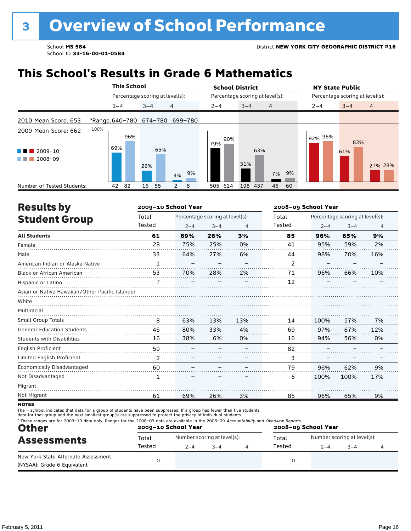### **This School's Results in Grade 6 Mathematics**

|                                                    |                                 |         | <b>This School</b> |         |                                 |                |    | <b>School District</b> |                                 |         |         |                |    | <b>NY State Public</b>          |  |            |                |
|----------------------------------------------------|---------------------------------|---------|--------------------|---------|---------------------------------|----------------|----|------------------------|---------------------------------|---------|---------|----------------|----|---------------------------------|--|------------|----------------|
|                                                    |                                 |         |                    |         | Percentage scoring at level(s): |                |    |                        | Percentage scoring at level(s): |         |         |                |    | Percentage scoring at level(s): |  |            |                |
|                                                    |                                 | $2 - 4$ |                    | $3 - 4$ |                                 | 4              |    |                        | $2 - 4$                         | $3 - 4$ |         | $\overline{4}$ |    | $2 - 4$                         |  | $3 - 4$    | $\overline{4}$ |
| 2010 Mean Score: 653                               | *Range: 640-780 674-780 699-780 |         |                    |         |                                 |                |    |                        |                                 |         |         |                |    |                                 |  |            |                |
| 2009 Mean Score: 662                               | 100%                            |         | 96%                |         |                                 |                |    |                        | 90%                             |         |         |                |    | 92% 96%                         |  |            |                |
| $2009 - 10$<br><b>Contract Contract</b><br>2008-09 |                                 | 69%     |                    |         | 65%                             |                |    |                        | 79%                             |         | 63%     |                |    |                                 |  | 83%<br>61% |                |
|                                                    |                                 |         |                    | 26%     |                                 | 3%             | 9% |                        |                                 | 31%     |         | 7%             | 9% |                                 |  |            | 27% 28%        |
| Number of Tested Students:                         |                                 | 42      | 82                 | 16      | 55                              | $\overline{2}$ | 8  |                        | 624<br>505                      |         | 198 437 | 46             | 60 |                                 |  |            |                |

| <b>Results by</b>                               |              | 2009-10 School Year |                                 |     | 2008-09 School Year |                                 |         |     |  |  |
|-------------------------------------------------|--------------|---------------------|---------------------------------|-----|---------------------|---------------------------------|---------|-----|--|--|
| <b>Student Group</b>                            | Total        |                     | Percentage scoring at level(s): |     | Total               | Percentage scoring at level(s): |         |     |  |  |
|                                                 | Tested       | $2 - 4$             | $3 - 4$                         | 4   | Tested              | $2 - 4$                         | $3 - 4$ | 4   |  |  |
| <b>All Students</b>                             | 61           | 69%                 | 26%                             | 3%  | 85                  | 96%                             | 65%     | 9%  |  |  |
| Female                                          | 28           | 75%                 | 25%                             | 0%  | 41                  | 95%                             | 59%     | 2%  |  |  |
| Male                                            | 33           | 64%                 | 27%                             | 6%  | 44                  | 98%                             | 70%     | 16% |  |  |
| American Indian or Alaska Native                | $\mathbf{1}$ |                     |                                 |     | 2                   |                                 |         |     |  |  |
| <b>Black or African American</b>                | 53           | 70%                 | 28%                             | 2%  | 71                  | 96%                             | 66%     | 10% |  |  |
| Hispanic or Latino                              |              |                     |                                 |     | 12                  |                                 |         |     |  |  |
| Asian or Native Hawaiian/Other Pacific Islander |              |                     |                                 |     |                     |                                 |         |     |  |  |
| White                                           |              |                     |                                 |     |                     |                                 |         |     |  |  |
| Multiracial                                     |              |                     |                                 |     |                     |                                 |         |     |  |  |
| <b>Small Group Totals</b>                       | 8            | 63%                 | 13%                             | 13% | 14                  | 100%                            | 57%     | 7%  |  |  |
| <b>General-Education Students</b>               | 45           | 80%                 | 33%                             | 4%  | 69                  | 97%                             | 67%     | 12% |  |  |
| <b>Students with Disabilities</b>               | 16           | 38%                 | 6%                              | 0%  | 16                  | 94%                             | 56%     | 0%  |  |  |
| <b>English Proficient</b>                       | 59           |                     |                                 |     | 82                  |                                 |         |     |  |  |
| Limited English Proficient                      | 2            |                     |                                 |     | 3                   |                                 |         |     |  |  |
| Economically Disadvantaged                      | 60           |                     |                                 |     | 79                  | 96%                             | 62%     | 9%  |  |  |
| Not Disadvantaged                               | 1            |                     |                                 |     | 6                   | 100%                            | 100%    | 17% |  |  |
| Migrant                                         |              |                     |                                 |     |                     |                                 |         |     |  |  |
| Not Migrant                                     | 61           | 69%                 | 26%                             | 3%  | 85                  | 96%                             | 65%     | 9%  |  |  |
|                                                 |              |                     |                                 |     |                     |                                 |         |     |  |  |

**NOTES** 

The – symbol indicates that data for a group of students have been suppressed. If a group has fewer than five students,<br>data for that group and the next smallest group(s) are suppressed to protect the privacy of individual

| * These ranges are for 2009-10 data only. Ranges for the 2008-09 data are available in the 2008-09 Accountability and Overview Reports.<br><b>Other</b> |        | 2009-10 School Year |                             | 2008-09 School Year |                             |         |  |  |  |  |
|---------------------------------------------------------------------------------------------------------------------------------------------------------|--------|---------------------|-----------------------------|---------------------|-----------------------------|---------|--|--|--|--|
| <b>Assessments</b>                                                                                                                                      | Total  |                     | Number scoring at level(s): | Total               | Number scoring at level(s): |         |  |  |  |  |
|                                                                                                                                                         | Tested | $2 - 4$             | $3 - 4$                     | Tested              | $2 - 4$                     | $3 - 4$ |  |  |  |  |
| New York State Alternate Assessment<br>(NYSAA): Grade 6 Equivalent                                                                                      |        |                     |                             |                     |                             |         |  |  |  |  |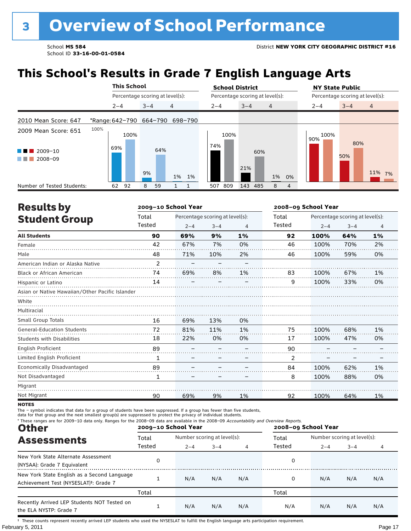## **This School's Results in Grade 7 English Language Arts**

|                                                                                |                                 | <b>This School</b>              |         |     |          | <b>School District</b>          |      |         |     |                |    | <b>NY State Public</b>          |            |                |  |  |
|--------------------------------------------------------------------------------|---------------------------------|---------------------------------|---------|-----|----------|---------------------------------|------|---------|-----|----------------|----|---------------------------------|------------|----------------|--|--|
|                                                                                |                                 | Percentage scoring at level(s): |         |     |          | Percentage scoring at level(s): |      |         |     |                |    | Percentage scoring at level(s): |            |                |  |  |
|                                                                                |                                 | $2 - 4$                         | $3 - 4$ |     | 4        | $2 - 4$                         |      | $3 - 4$ |     | $\overline{4}$ |    | $2 - 4$                         | $3 - 4$    | $\overline{4}$ |  |  |
| 2010 Mean Score: 647                                                           | *Range: 642-790 664-790 698-790 |                                 |         |     |          |                                 |      |         |     |                |    |                                 |            |                |  |  |
| 2009 Mean Score: 651<br>$\blacksquare$ 2009-10<br><b>The Common</b><br>2008-09 | 100%                            | 100%<br>69%                     | 9%      | 64% | 1%<br>1% | 74%                             | 100% | 21%     | 60% | 1%             | 0% | 100%<br>90%                     | 80%<br>50% | 11% 7%         |  |  |
| Number of Tested Students:                                                     |                                 | 92<br>62                        | 8       | 59  |          | 809<br>507                      |      | 143 485 |     | 8              | 4  |                                 |            |                |  |  |

| <b>Results by</b>                               |                | 2009-10 School Year |                                 | 2008-09 School Year |        |         |                                 |                |  |
|-------------------------------------------------|----------------|---------------------|---------------------------------|---------------------|--------|---------|---------------------------------|----------------|--|
| <b>Student Group</b>                            | Total          |                     | Percentage scoring at level(s): |                     | Total  |         | Percentage scoring at level(s): |                |  |
|                                                 | Tested         | $2 - 4$             | $3 - 4$                         | 4                   | Tested | $2 - 4$ | $3 - 4$                         | $\overline{4}$ |  |
| <b>All Students</b>                             | 90             | 69%                 | 9%                              | 1%                  | 92     | 100%    | 64%                             | 1%             |  |
| Female                                          | 42             | 67%                 | 7%                              | 0%                  | 46     | 100%    | 70%                             | 2%             |  |
| Male                                            | 48             | 71%                 | 10%                             | 2%                  | 46     | 100%    | 59%                             | 0%             |  |
| American Indian or Alaska Native                | $\mathfrak{p}$ |                     |                                 |                     |        |         |                                 |                |  |
| <b>Black or African American</b>                | 74             | 69%                 | 8%                              | 1%                  | 83     | 100%    | 67%                             | 1%             |  |
| Hispanic or Latino                              | 14             |                     |                                 |                     | 9      | 100%    | 33%                             | 0%             |  |
| Asian or Native Hawaiian/Other Pacific Islander |                |                     |                                 |                     |        |         |                                 |                |  |
| White                                           |                |                     |                                 |                     |        |         |                                 |                |  |
| Multiracial                                     |                |                     |                                 |                     |        |         |                                 |                |  |
| Small Group Totals                              | 16             | 69%                 | 13%                             | 0%                  |        |         |                                 |                |  |
| <b>General-Education Students</b>               | 72             | 81%                 | 11%                             | 1%                  | 75     | 100%    | 68%                             | 1%             |  |
| <b>Students with Disabilities</b>               | 18             | 22%                 | 0%                              | 0%                  | 17     | 100%    | 47%                             | 0%             |  |
| <b>English Proficient</b>                       | 89             |                     |                                 |                     | 90     |         |                                 |                |  |
| Limited English Proficient                      | 1              |                     |                                 |                     | 2      |         |                                 |                |  |
| Economically Disadvantaged                      | 89             |                     |                                 |                     | 84     | 100%    | 62%                             | 1%             |  |
| Not Disadvantaged                               | 1              |                     |                                 |                     | 8      | 100%    | 88%                             | 0%             |  |
| Migrant                                         |                |                     |                                 |                     |        |         |                                 |                |  |
| Not Migrant                                     | 90             | 69%                 | 9%                              | 1%                  | 92     | 100%    | 64%                             | 1%             |  |

**NOTES** 

The – symbol indicates that data for a group of students have been suppressed. If a group has fewer than five students,<br>data for that group and the next smallest group(s) are suppressed to protect the privacy of individual

| * These ranges are for 2009-10 data only. Ranges for the 2008-09 data are available in the 2008-09 Accountability and Overview Reports.<br><b>Other</b> |        | 2009-10 School Year         |         |     | 2008-09 School Year |                             |         |     |  |  |
|---------------------------------------------------------------------------------------------------------------------------------------------------------|--------|-----------------------------|---------|-----|---------------------|-----------------------------|---------|-----|--|--|
| <b>Assessments</b>                                                                                                                                      | Total  | Number scoring at level(s): |         |     | Total               | Number scoring at level(s): |         |     |  |  |
|                                                                                                                                                         | Tested | $2 - 4$                     | $3 - 4$ | 4   | Tested              | $2 - 4$                     | $3 - 4$ |     |  |  |
| New York State Alternate Assessment<br>(NYSAA): Grade 7 Equivalent                                                                                      | 0      |                             |         |     | 0                   |                             |         |     |  |  |
| New York State English as a Second Language<br>Achievement Test (NYSESLAT) <sup>t</sup> : Grade 7                                                       |        | N/A                         | N/A     | N/A | 0                   | N/A                         | N/A     | N/A |  |  |
|                                                                                                                                                         | Total  |                             |         |     | Total               |                             |         |     |  |  |
| Recently Arrived LEP Students NOT Tested on<br>the ELA NYSTP: Grade 7                                                                                   |        | N/A                         | N/A     | N/A | N/A                 | N/A                         | N/A     | N/A |  |  |

February 5, 2011 **Page 17** † These counts represent recently arrived LEP students who used the NYSESLAT to fulfill the English language arts participation requirement.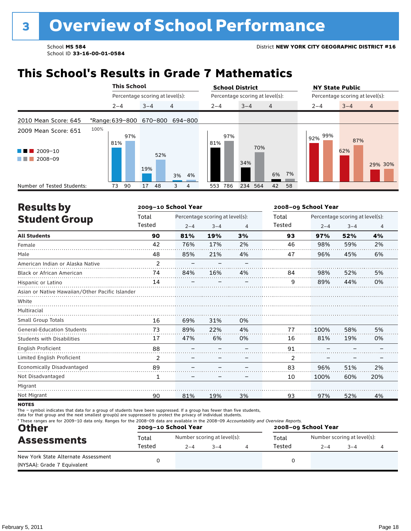### **This School's Results in Grade 7 Mathematics**

|                                           | <b>This School</b>              |                                 |                | <b>School District</b> |                                 | <b>NY State Public</b> |                                 |
|-------------------------------------------|---------------------------------|---------------------------------|----------------|------------------------|---------------------------------|------------------------|---------------------------------|
|                                           |                                 | Percentage scoring at level(s): |                |                        | Percentage scoring at level(s): |                        | Percentage scoring at level(s): |
|                                           | $2 - 4$                         | $3 - 4$                         | $\overline{4}$ | $2 - 4$                | $3 - 4$<br>$\overline{4}$       | $2 - 4$                | $\overline{4}$<br>$3 - 4$       |
| 2010 Mean Score: 645                      | *Range: 639-800 670-800 694-800 |                                 |                |                        |                                 |                        |                                 |
| 2009 Mean Score: 651                      | 100%<br>97%<br>81%              |                                 |                | 97%<br>81%             | 70%                             | 99%<br>92%             | 87%                             |
| $2009 - 10$<br>a sa na<br>2008-09<br>a ka |                                 | 52%<br>19%                      | 3% 4%          |                        | 34%<br>6%                       | 7%                     | 62%<br>29% 30%                  |
| Number of Tested Students:                | 90<br>73                        | 17<br>48                        | 3<br>4         | 786<br>553             | 234<br>564<br>42<br>58          |                        |                                 |

| <b>Results by</b>                               |        | 2009-10 School Year |                                 |    | 2008-09 School Year |         |                                 |                |  |
|-------------------------------------------------|--------|---------------------|---------------------------------|----|---------------------|---------|---------------------------------|----------------|--|
| <b>Student Group</b>                            | Total  |                     | Percentage scoring at level(s): |    | Total               |         | Percentage scoring at level(s): |                |  |
|                                                 | Tested | $2 - 4$             | $3 - 4$                         | 4  | Tested              | $2 - 4$ | $3 - 4$                         | $\overline{4}$ |  |
| <b>All Students</b>                             | 90     | 81%                 | 19%                             | 3% | 93                  | 97%     | 52%                             | 4%             |  |
| Female                                          | 42     | 76%                 | 17%                             | 2% | 46                  | 98%     | 59%                             | 2%             |  |
| Male                                            | 48     | 85%                 | 21%                             | 4% | 47                  | 96%     | 45%                             | 6%             |  |
| American Indian or Alaska Native                | 2      |                     |                                 |    |                     |         |                                 |                |  |
| <b>Black or African American</b>                | 74     | 84%                 | 16%                             | 4% | 84                  | 98%     | 52%                             | 5%             |  |
| Hispanic or Latino                              | 14     |                     |                                 |    | 9                   | 89%     | 44%                             | 0%             |  |
| Asian or Native Hawaiian/Other Pacific Islander |        |                     |                                 |    |                     |         |                                 |                |  |
| White                                           |        |                     |                                 |    |                     |         |                                 |                |  |
| Multiracial                                     |        |                     |                                 |    |                     |         |                                 |                |  |
| <b>Small Group Totals</b>                       | 16     | 69%                 | 31%                             | 0% |                     |         |                                 |                |  |
| <b>General-Education Students</b>               | 73     | 89%                 | 22%                             | 4% | 77                  | 100%    | 58%                             | 5%             |  |
| <b>Students with Disabilities</b>               | 17     | 47%                 | 6%                              | 0% | 16                  | 81%     | 19%                             | 0%             |  |
| <b>English Proficient</b>                       | 88     |                     |                                 |    | 91                  |         |                                 |                |  |
| Limited English Proficient                      | 2      |                     |                                 |    | 2                   |         |                                 |                |  |
| Economically Disadvantaged                      | 89     |                     |                                 |    | 83                  | 96%     | 51%                             | 2%             |  |
| Not Disadvantaged                               | 1      |                     |                                 |    | 10                  | 100%    | 60%                             | 20%            |  |
| Migrant                                         |        |                     |                                 |    |                     |         |                                 |                |  |
| Not Migrant                                     | 90     | 81%                 | 19%                             | 3% | 93                  | 97%     | 52%                             | 4%             |  |

**NOTES** 

The – symbol indicates that data for a group of students have been suppressed. If a group has fewer than five students,<br>data for that group and the next smallest group(s) are suppressed to protect the privacy of individual

| <b>Other</b>                                                       |        | 2009-10 School Year |                             | * These ranges are for 2009-10 data only. Ranges for the 2008-09 data are available in the 2008-09 Accountability and Overview Reports.<br>2008-09 School Year |         |                             |  |  |  |  |
|--------------------------------------------------------------------|--------|---------------------|-----------------------------|----------------------------------------------------------------------------------------------------------------------------------------------------------------|---------|-----------------------------|--|--|--|--|
| <b>Assessments</b>                                                 | Total  |                     | Number scoring at level(s): | Total                                                                                                                                                          |         | Number scoring at level(s): |  |  |  |  |
|                                                                    | Tested | $2 - 4$             | $3 - 4$                     | Tested                                                                                                                                                         | $2 - 4$ | $3 - 4$                     |  |  |  |  |
| New York State Alternate Assessment<br>(NYSAA): Grade 7 Equivalent |        |                     |                             |                                                                                                                                                                |         |                             |  |  |  |  |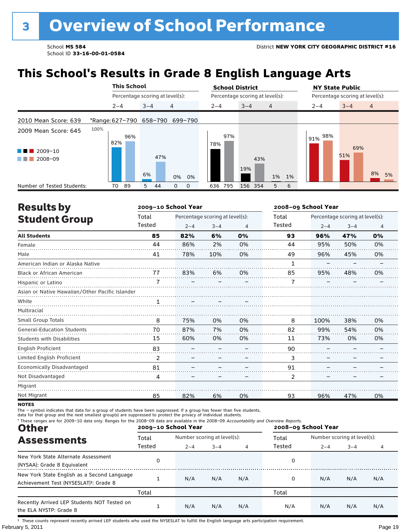**This School's Results in Grade 8 English Language Arts**

|                                                          |                         |         | <b>This School</b> |         |                                 |          | <b>School District</b> |         |     |                                 |     |                | <b>NY State Public</b> |         |                          |                                 |     |                |    |
|----------------------------------------------------------|-------------------------|---------|--------------------|---------|---------------------------------|----------|------------------------|---------|-----|---------------------------------|-----|----------------|------------------------|---------|--------------------------|---------------------------------|-----|----------------|----|
|                                                          |                         |         |                    |         | Percentage scoring at level(s): |          |                        |         |     | Percentage scoring at level(s): |     |                |                        |         |                          | Percentage scoring at level(s): |     |                |    |
|                                                          |                         | $2 - 4$ |                    | $3 - 4$ |                                 | 4        |                        | $2 - 4$ |     | $3 - 4$                         |     | $\overline{4}$ |                        | $2 - 4$ |                          | $3 - 4$                         |     | $\overline{4}$ |    |
| 2010 Mean Score: 639                                     | *Range: 627-790 658-790 |         |                    |         |                                 |          | 699-790                |         |     |                                 |     |                |                        |         |                          |                                 |     |                |    |
| 2009 Mean Score: 645                                     | 100%                    | 82%     | 96%                |         |                                 |          |                        | 78%     | 97% |                                 |     |                |                        |         | $191\%$ $\frac{98\%}{ }$ |                                 | 69% |                |    |
| $\blacksquare$ 2009-10<br>a sa na<br>2008-09<br>a sa Tan |                         |         |                    | 6%      | 47%                             |          | 0% 0%                  |         |     | 19%                             | 43% | 1% 1%          |                        |         |                          | 51%                             |     | 8%             | 5% |
| Number of Tested Students:                               |                         | 70      | 89                 | 5       | 44                              | $\Omega$ | 0                      | 636     | 795 | 156 354                         |     | 5              | 6                      |         |                          |                                 |     |                |    |

| <b>Results by</b>                               |                     | 2009-10 School Year |                                 |    | 2008-09 School Year |         |                                 |                |  |
|-------------------------------------------------|---------------------|---------------------|---------------------------------|----|---------------------|---------|---------------------------------|----------------|--|
| <b>Student Group</b>                            | Total               |                     | Percentage scoring at level(s): |    | Total               |         | Percentage scoring at level(s): |                |  |
|                                                 | Tested              | $2 - 4$             | $3 - 4$                         | 4  | Tested              | $2 - 4$ | $3 - 4$                         | $\overline{4}$ |  |
| <b>All Students</b>                             | 85                  | 82%                 | 6%                              | 0% | 93                  | 96%     | 47%                             | 0%             |  |
| Female                                          | 44                  | 86%                 | 2%                              | 0% | 44                  | 95%     | 50%                             | 0%             |  |
| Male                                            | 41                  | 78%                 | 10%                             | 0% | 49                  | 96%     | 45%                             | 0%             |  |
| American Indian or Alaska Native                |                     |                     |                                 |    | 1                   |         |                                 |                |  |
| <b>Black or African American</b>                | 77                  | 83%                 | 6%                              | 0% | 85                  | 95%     | 48%                             | 0%             |  |
| Hispanic or Latino                              | $\overline{7}$<br>. |                     |                                 |    | 7                   |         |                                 |                |  |
| Asian or Native Hawaiian/Other Pacific Islander |                     |                     |                                 |    |                     |         |                                 |                |  |
| White                                           | 1                   |                     |                                 |    |                     |         |                                 |                |  |
| Multiracial                                     |                     |                     |                                 |    |                     |         |                                 |                |  |
| Small Group Totals                              | 8                   | 75%                 | 0%                              | 0% | 8                   | 100%    | 38%                             | 0%             |  |
| <b>General-Education Students</b>               | 70                  | 87%                 | 7%                              | 0% | 82                  | 99%     | 54%                             | 0%             |  |
| <b>Students with Disabilities</b>               | 15                  | 60%                 | 0%                              | 0% | 11                  | 73%     | 0%                              | 0%             |  |
| English Proficient                              | 83                  |                     |                                 |    | 90                  |         |                                 |                |  |
| Limited English Proficient                      | 2                   |                     |                                 |    | 3                   |         |                                 |                |  |
| Economically Disadvantaged                      | 81                  |                     |                                 |    | 91                  |         |                                 |                |  |
| Not Disadvantaged                               | 4                   |                     |                                 |    | $\overline{2}$      |         |                                 |                |  |
| Migrant                                         |                     |                     |                                 |    |                     |         |                                 |                |  |
| Not Migrant                                     | 85                  | 82%                 | 6%                              | 0% | 93                  | 96%     | 47%                             | 0%             |  |

**NOTES** 

The – symbol indicates that data for a group of students have been suppressed. If a group has fewer than five students,<br>data for that group and the next smallest group(s) are suppressed to protect the privacy of individual

| * These ranges are for 2009-10 data only. Ranges for the 2008-09 data are available in the 2008-09 Accountability and Overview Reports.<br><b>Other</b> |        | 2009-10 School Year         |         |                | 2008-09 School Year |                             |         |     |  |  |
|---------------------------------------------------------------------------------------------------------------------------------------------------------|--------|-----------------------------|---------|----------------|---------------------|-----------------------------|---------|-----|--|--|
| <b>Assessments</b>                                                                                                                                      | Total  | Number scoring at level(s): |         |                | Total               | Number scoring at level(s): |         |     |  |  |
|                                                                                                                                                         | Tested | $2 - 4$                     | $3 - 4$ | $\overline{4}$ | Tested              | $2 - 4$                     | $3 - 4$ | 4   |  |  |
| New York State Alternate Assessment<br>(NYSAA): Grade 8 Equivalent                                                                                      | 0      |                             |         |                | 0                   |                             |         |     |  |  |
| New York State English as a Second Language<br>Achievement Test (NYSESLAT) <sup>+</sup> : Grade 8                                                       |        | N/A                         | N/A     | N/A            |                     | N/A                         | N/A     | N/A |  |  |
|                                                                                                                                                         | Total  |                             |         |                | Total               |                             |         |     |  |  |
| Recently Arrived LEP Students NOT Tested on<br>the ELA NYSTP: Grade 8                                                                                   |        | N/A                         | N/A     | N/A            | N/A                 | N/A                         | N/A     | N/A |  |  |

February 5, 2011 **Page 19** † These counts represent recently arrived LEP students who used the NYSESLAT to fulfill the English language arts participation requirement.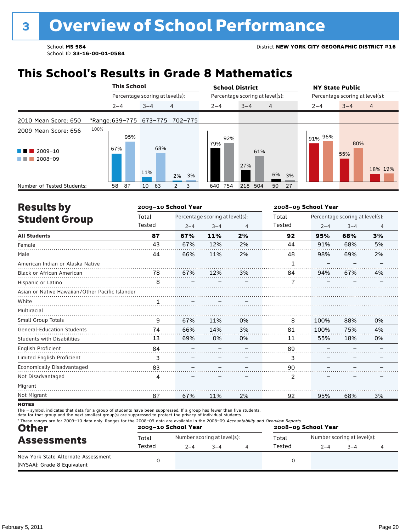### **This School's Results in Grade 8 Mathematics**

|                                                               |                                       |         | <b>This School</b> |         |                                 |               |   |  | <b>School District</b>          |         |         |                |    | <b>NY State Public</b>          |            |                |  |
|---------------------------------------------------------------|---------------------------------------|---------|--------------------|---------|---------------------------------|---------------|---|--|---------------------------------|---------|---------|----------------|----|---------------------------------|------------|----------------|--|
|                                                               |                                       |         |                    |         | Percentage scoring at level(s): |               |   |  | Percentage scoring at level(s): |         |         |                |    | Percentage scoring at level(s): |            |                |  |
|                                                               |                                       | $2 - 4$ |                    | $3 - 4$ |                                 | 4             |   |  | $2 - 4$                         | $3 - 4$ |         | $\overline{4}$ |    | $2 - 4$                         | $3 - 4$    | $\overline{4}$ |  |
| 2010 Mean Score: 650                                          | *Range: 639-775    673-775    702-775 |         |                    |         |                                 |               |   |  |                                 |         |         |                |    |                                 |            |                |  |
| 2009 Mean Score: 656<br>2009-10<br>and the control<br>2008-09 | 100%                                  | 67%     | 95%                | 11%     | 68%                             | 2% 3%         |   |  | 92%<br>79%                      | 27%     | 61%     | 6%             | 3% | l 91% <sup>96%</sup>            | 80%<br>55% | 18% 19%        |  |
| Number of Tested Students:                                    |                                       | 58      | 87                 | 10      | 63                              | $\mathcal{P}$ | 3 |  | 754<br>640                      |         | 218 504 | 50             | 27 |                                 |            |                |  |

| <b>Results by</b>                               |        | 2009-10 School Year |                                 |                | 2008-09 School Year |         |                                 |    |  |
|-------------------------------------------------|--------|---------------------|---------------------------------|----------------|---------------------|---------|---------------------------------|----|--|
| <b>Student Group</b>                            | Total  |                     | Percentage scoring at level(s): |                | Total               |         | Percentage scoring at level(s): |    |  |
|                                                 | Tested | $2 - 4$             | $3 - 4$                         | $\overline{4}$ | Tested              | $2 - 4$ | $3 - 4$                         | 4  |  |
| <b>All Students</b>                             | 87     | 67%                 | 11%                             | 2%             | 92                  | 95%     | 68%                             | 3% |  |
| Female                                          | 43     | 67%                 | 12%                             | 2%             | 44                  | 91%     | 68%                             | 5% |  |
| Male                                            | 44     | 66%                 | 11%                             | 2%             | 48                  | 98%     | 69%                             | 2% |  |
| American Indian or Alaska Native                |        |                     |                                 |                | 1                   |         |                                 |    |  |
| <b>Black or African American</b>                | 78     | 67%                 | 12%                             | 3%             | 84                  | 94%     | 67%                             | 4% |  |
| Hispanic or Latino                              |        |                     |                                 |                |                     |         |                                 |    |  |
| Asian or Native Hawaiian/Other Pacific Islander |        |                     |                                 |                |                     |         |                                 |    |  |
| White                                           |        |                     |                                 |                |                     |         |                                 |    |  |
| Multiracial                                     |        |                     |                                 |                |                     |         |                                 |    |  |
| <b>Small Group Totals</b>                       | 9      | 67%                 | 11%                             | 0%             | 8                   | 100%    | 88%                             | 0% |  |
| <b>General-Education Students</b>               | 74     | 66%                 | 14%                             | 3%             | 81                  | 100%    | 75%                             | 4% |  |
| <b>Students with Disabilities</b>               | 13     | 69%                 | 0%                              | 0%             | 11                  | 55%     | 18%                             | 0% |  |
| English Proficient                              | 84     |                     |                                 |                | 89                  |         |                                 |    |  |
| Limited English Proficient                      | 3      | -                   |                                 |                | 3                   |         |                                 |    |  |
| Economically Disadvantaged                      | 83     |                     |                                 |                | 90                  |         |                                 |    |  |
| Not Disadvantaged                               | 4      |                     |                                 |                | 2                   |         |                                 |    |  |
| Migrant                                         |        |                     |                                 |                |                     |         |                                 |    |  |
| Not Migrant                                     | 87     | 67%                 | 11%                             | 2%             | 92                  | 95%     | 68%                             | 3% |  |
|                                                 |        |                     |                                 |                |                     |         |                                 |    |  |

**NOTES** 

The – symbol indicates that data for a group of students have been suppressed. If a group has fewer than five students,<br>data for that group and the next smallest group(s) are suppressed to protect the privacy of individual

| <b>Other</b>                                                       |        | 2009-10 School Year |                             | * These ranges are for 2009-10 data only. Ranges for the 2008-09 data are available in the 2008-09 Accountability and Overview Reports.<br>2008-09 School Year |                             |         |  |  |  |  |
|--------------------------------------------------------------------|--------|---------------------|-----------------------------|----------------------------------------------------------------------------------------------------------------------------------------------------------------|-----------------------------|---------|--|--|--|--|
| <b>Assessments</b>                                                 | Total  |                     | Number scoring at level(s): | Total                                                                                                                                                          | Number scoring at level(s): |         |  |  |  |  |
|                                                                    | Tested | $2 - 4$             | $3 - 4$                     | Tested                                                                                                                                                         | $2 - 4$                     | $3 - 4$ |  |  |  |  |
| New York State Alternate Assessment<br>(NYSAA): Grade 8 Equivalent |        |                     |                             |                                                                                                                                                                |                             |         |  |  |  |  |